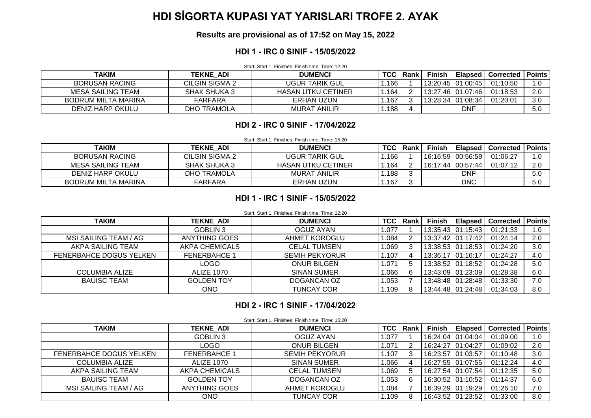# **HDI SİGORTA KUPASI YAT YARISLARI TROFE 2. AYAK**

**Results are provisional as of 17:52 on May 15, 2022**

#### **HDI 1 - IRC 0 SINIF - 15/05/2022**

Start: Start 1, Finishes: Finish time, Time: 12:20

| <b>TAKIM</b>               | <b>TEKNE ADI</b> | <b>DUMENCI</b>            | <b>TCC</b> | l Rank | <b>Finish</b> |                     | <b>Elapsed   Corrected</b> | I Points |
|----------------------------|------------------|---------------------------|------------|--------|---------------|---------------------|----------------------------|----------|
| <b>BORUSAN RACING</b>      | CILGIN SIGMA 2   | UGUR TARIK GUL            | 166        |        |               | 13:20:45   01:00:45 | 01:10:50                   | I.O      |
| MESA SAILING TEAM          | SHAK SHUKA 3     | <b>HASAN UTKU CETINER</b> | 164        |        |               | 13:27:46   01:07:46 | 01:18:53                   | 2.0      |
| <b>BODRUM MILTA MARINA</b> | FARFARA          | ERHAN UZUN                | . .167     |        |               | 13:28:34   01:08:34 | 01:20:01                   | 3.0      |
| DENIZ HARP OKULU           | DHO TRAMOLA      | <b>MURAT ANILIR</b>       | .188       |        |               | DNF                 |                            | 5.0      |

#### **HDI 2 - IRC 0 SINIF - 17/04/2022**

Start: Start 1, Finishes: Finish time, Time: 15:20

| TAKIM                 | <b>TEKNE ADI</b>    | <b>DUMENCI</b>            | TCC I | l Rank | <b>Finish</b> |                     | <b>Elapsed   Corrected</b> | <b>Points</b> |
|-----------------------|---------------------|---------------------------|-------|--------|---------------|---------------------|----------------------------|---------------|
| <b>BORUSAN RACING</b> | CILGIN SIGMA 2      | UGUR TARIK GUL            | 166 l |        |               |                     | 01:06:27                   |               |
| MESA SAILING TEAM     | <b>SHAK SHUKA 3</b> | <b>HASAN UTKU CETINER</b> | .164  |        |               | 16:17:44   00:57:44 | 01:07:12                   | 2.0           |
| DENIZ HARP OKULU      | DHO TRAMOLA         | <b>MURAT ANILIR</b>       | .1881 |        |               | <b>DNF</b>          |                            | 5.0           |
| BODRUM MILTA MARINA   | FARFARA             | ERHAN UZUN                | .167  |        |               | <b>DNC</b>          |                            | 5.0           |

#### **HDI 1 - IRC 1 SINIF - 15/05/2022**

#### Start: Start 1, Finishes: Finish time, Time: 12:20

| TAKIM                   | <b>TEKNE ADI</b>     | <b>DUMENCI</b>        |       | <b>TCC   Rank</b> | <b>Finish</b> | <b>Elapsed</b>    | Corrected | <b>Points</b> |
|-------------------------|----------------------|-----------------------|-------|-------------------|---------------|-------------------|-----------|---------------|
|                         | <b>GOBLIN 3</b>      | <b>OGUZ AYAN</b>      | 1.077 |                   |               | 13:35:43 01:15:43 | 01:21:33  | 1.0           |
| MSI SAILING TEAM / AG   | <b>ANYTHING GOES</b> | AHMET KOROGLU         | 1.084 | ົ                 |               | 13:37:42 01:17:42 | 01:24:14  | 2.0           |
| AKPA SAILING TEAM       | AKPA CHEMICALS       | <b>CELAL TUMSEN</b>   | 1.069 | 3                 |               | 13:38:53 01:18:53 | 01:24:20  | 3.0           |
| FENERBAHCE DOGUS YELKEN | <b>FENERBAHCE 1</b>  | <b>SEMIH PEKYORUR</b> | 1.107 |                   |               | 13:36:17 01:16:17 | 01:24:27  | 4.0           |
|                         | LOGO                 | <b>ONUR BILGEN</b>    | 1.071 | 5                 |               | 13:38:52 01:18:52 | 01:24:28  | 5.0           |
| COLUMBIA ALIZE          | <b>ALIZE 1070</b>    | <b>SINAN SUMER</b>    | .066  | 6                 |               | 13:43:09 01:23:09 | 01:28:38  | 6.0           |
| <b>BAUISC TEAM</b>      | <b>GOLDEN TOY</b>    | DOGANCAN OZ           | 1.053 |                   |               | 13:48:48 01:28:48 | 01:33:30  | 7.0           |
|                         | ONO                  | <b>TUNCAY COR</b>     | .109  |                   |               | 13:44:48 01:24:48 | 01:34:03  | 8.0           |

### **HDI 2 - IRC 1 SINIF - 17/04/2022**

|                         | Start: Start 1, Finishes: Finish time, Time: 15:20 |                       |            |          |               |                     |                  |               |  |  |  |
|-------------------------|----------------------------------------------------|-----------------------|------------|----------|---------------|---------------------|------------------|---------------|--|--|--|
| <b>TAKIM</b>            | <b>TEKNE ADI</b>                                   | <b>DUMENCI</b>        | <b>TCC</b> | l Rank I | <b>Finish</b> | <b>Elapsed</b>      | <b>Corrected</b> | <b>Points</b> |  |  |  |
|                         | GOBLIN 3                                           | <b>OGUZ AYAN</b>      | 1.077      |          |               | 16:24:04   01:04:04 | 01:09:00         | 1.0           |  |  |  |
|                         | <b>LOGO</b>                                        | <b>ONUR BILGEN</b>    | 1.071      |          |               | 16:24:27   01:04:27 | 01:09:02         | 2.0           |  |  |  |
| FENERBAHCE DOGUS YELKEN | <b>FENERBAHCE 1</b>                                | <b>SEMIH PEKYORUR</b> | .107       | 3        |               | 16:23:57 01:03:57   | 01:10:48         | 3.0           |  |  |  |
| <b>COLUMBIA ALIZE</b>   | ALIZE 1070                                         | <b>SINAN SUMER</b>    | .066       | 4        |               | 16:27:55   01:07:55 | 01:12:24         | 4.0           |  |  |  |
| AKPA SAILING TEAM       | AKPA CHEMICALS                                     | <b>CELAL TUMSEN</b>   | 1.0691     | 5        |               | 16:27:54   01:07:54 | 01:12:35         | 5.0           |  |  |  |
| <b>BAUISC TEAM</b>      | <b>GOLDEN TOY</b>                                  | DOGANCAN OZ           | 1.053      | 6        |               | 16:30:52 01:10:52   | 01:14:37         | 6.0           |  |  |  |
| MSI SAILING TEAM / AG   | <b>ANYTHING GOES</b>                               | <b>AHMET KOROGLU</b>  | .084،      |          |               | 16:39:29 01:19:29   | 01:26:10         | 7.0           |  |  |  |
|                         | ONO                                                | <b>TUNCAY COR</b>     | .109       |          |               | 16:43:52 01:23:52   | 01:33:00         | 8.0           |  |  |  |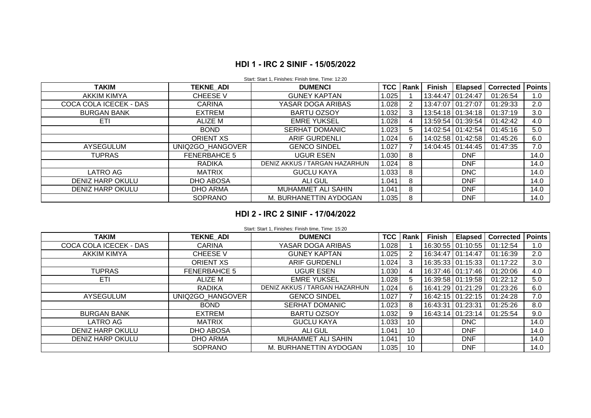## **HDI 1 - IRC 2 SINIF - 15/05/2022**

| <b>TAKIM</b>           | <b>TEKNE ADI</b>    | <b>DUMENCI</b>                |       | TCC   Rank | <b>Finish</b> | <b>Elapsed</b>      | <b>Corrected</b> | <b>Points</b> |
|------------------------|---------------------|-------------------------------|-------|------------|---------------|---------------------|------------------|---------------|
| AKKIM KIMYA            | <b>CHEESE V</b>     | <b>GUNEY KAPTAN</b>           | 1.025 |            |               | 13:44:47 01:24:47   | 01:26:54         | 1.0           |
| COCA COLA ICECEK - DAS | <b>CARINA</b>       | YASAR DOGA ARIBAS             | 1.028 | 2          |               | 13:47:07   01:27:07 | 01:29:33         | 2.0           |
| <b>BURGAN BANK</b>     | <b>EXTREM</b>       | <b>BARTU OZSOY</b>            | 1.032 | 3          |               | 13:54:18 01:34:18   | 01:37:19         | 3.0           |
| ETI.                   | ALIZE M             | <b>EMRE YUKSEL</b>            | 1.028 | 4          |               | 13:59:54 01:39:54   | 01:42:42         | 4.0           |
|                        | <b>BOND</b>         | <b>SERHAT DOMANIC</b>         | 1.023 | 5          |               | 14:02:54 01:42:54   | 01:45:16         | 5.0           |
|                        | <b>ORIENT XS</b>    | <b>ARIF GURDENLI</b>          | 1.024 | 6          |               | 14:02:58 01:42:58   | 01:45:26         | 6.0           |
| AYSEGULUM              | UNIQ2GO HANGOVER    | <b>GENCO SINDEL</b>           | 1.027 |            |               | 14:04:45 01:44:45   | 01:47:35         | 7.0           |
| <b>TUPRAS</b>          | <b>FENERBAHCE 5</b> | <b>UGUR ESEN</b>              | 1.030 | 8          |               | <b>DNF</b>          |                  | 14.0          |
|                        | RADIKA              | DENIZ AKKUS / TARGAN HAZARHUN | 1.024 | 8          |               | <b>DNF</b>          |                  | 14.0          |
| LATRO AG               | MATRIX              | <b>GUCLU KAYA</b>             | 1.033 | 8          |               | <b>DNC</b>          |                  | 14.0          |
| DENIZ HARP OKULU       | DHO ABOSA           | ALI GUL                       | 1.041 | 8          |               | <b>DNF</b>          |                  | 14.0          |
| DENIZ HARP OKULU       | <b>DHO ARMA</b>     | MUHAMMET ALI SAHIN            | 1.041 | 8          |               | <b>DNF</b>          |                  | 14.0          |
|                        | <b>SOPRANO</b>      | M. BURHANETTIN AYDOGAN        | 1.035 | 8          |               | <b>DNF</b>          |                  | 14.0          |

#### Start: Start 1, Finishes: Finish time, Time: 12:20

## **HDI 2 - IRC 2 SINIF - 17/04/2022**

| <b>TAKIM</b>           | <b>TEKNE ADI</b>    | <b>DUMENCI</b>                | TCC   | Rank | Finish            | <b>Elapsed</b>      | <b>Corrected</b> | <b>Points</b> |
|------------------------|---------------------|-------------------------------|-------|------|-------------------|---------------------|------------------|---------------|
| COCA COLA ICECEK - DAS | <b>CARINA</b>       | YASAR DOGA ARIBAS             | 1.028 |      |                   | 16:30:55 01:10:55   | 01:12:54         | 1.0           |
| AKKIM KIMYA            | <b>CHEESE V</b>     | <b>GUNEY KAPTAN</b>           | 1.025 | 2    |                   | 16:34:47   01:14:47 | 01:16:39         | 2.0           |
|                        | <b>ORIENT XS</b>    | <b>ARIF GURDENLI</b>          | 1.024 | 3    |                   | 16:35:33 01:15:33   | 01:17:22         | 3.0           |
| <b>TUPRAS</b>          | <b>FENERBAHCE 5</b> | UGUR ESEN                     | 1.030 | 4    |                   | 16:37:46 01:17:46   | 01:20:06         | 4.0           |
| ETI.                   | ALIZE M             | <b>EMRE YUKSEL</b>            | 1.028 | 5.   |                   | 16:39:58 01:19:58   | 01:22:12         | 5.0           |
|                        | <b>RADIKA</b>       | DENIZ AKKUS / TARGAN HAZARHUN | 1.024 | 6.   |                   | 16:41:29   01:21:29 | 01:23:26         | 6.0           |
| AYSEGULUM              | UNIQ2GO HANGOVER    | <b>GENCO SINDEL</b>           | 1.027 |      |                   | 16:42:15 01:22:15   | 01:24:28         | 7.0           |
|                        | <b>BOND</b>         | <b>SERHAT DOMANIC</b>         | 1.023 | 8    | 16:43:31 01:23:31 |                     | 01:25:26         | 8.0           |
| <b>BURGAN BANK</b>     | <b>EXTREM</b>       | <b>BARTU OZSOY</b>            | .032  | 9    |                   | 16:43:14   01:23:14 | 01:25:54         | 9.0           |
| LATRO AG               | <b>MATRIX</b>       | <b>GUCLU KAYA</b>             | 1.033 | 10   |                   | DNC                 |                  | 14.0          |
| DENIZ HARP OKULU       | DHO ABOSA           | ALI GUL                       | 1.041 | 10   |                   | <b>DNF</b>          |                  | 14.0          |
| DENIZ HARP OKULU       | DHO ARMA            | MUHAMMET ALI SAHIN            | .041  | 10   |                   | <b>DNF</b>          |                  | 14.0          |
|                        | <b>SOPRANO</b>      | M. BURHANETTIN AYDOGAN        | 1.035 | 10   |                   | <b>DNF</b>          |                  | 14.0          |

Start: Start 1, Finishes: Finish time, Time: 15:20